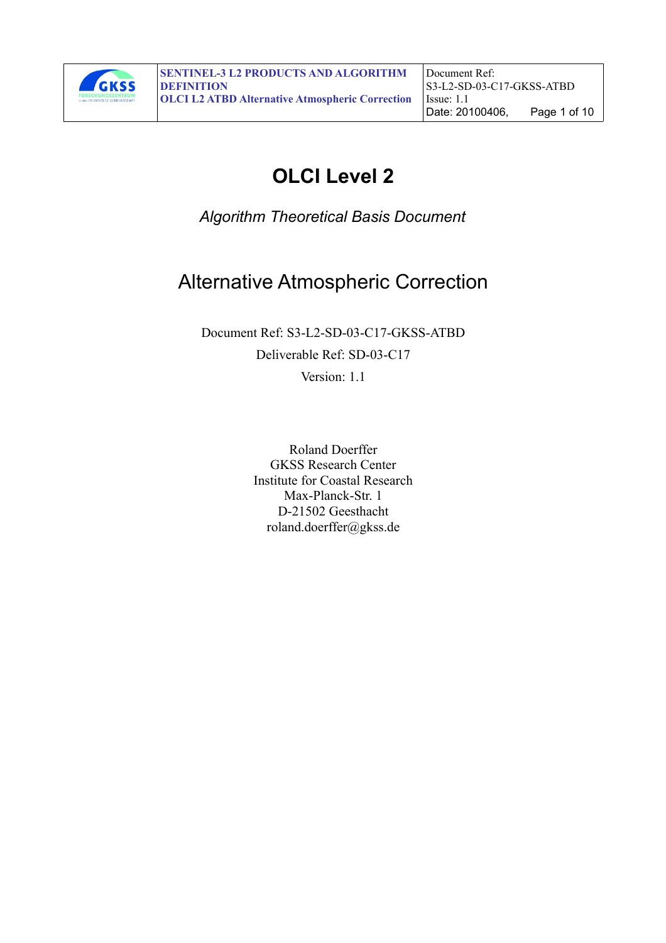

# **OLCI Level 2**

*Algorithm Theoretical Basis Document*

# Alternative Atmospheric Correction

Document Ref: S3-L2-SD-03-C17-GKSS-ATBD Deliverable Ref: SD-03-C17

Version: 1-1

Roland Doerffer GKSS Research Center Institute for Coastal Research Max-Planck-Str. 1 D-21502 Geesthacht roland.doerffer@gkss.de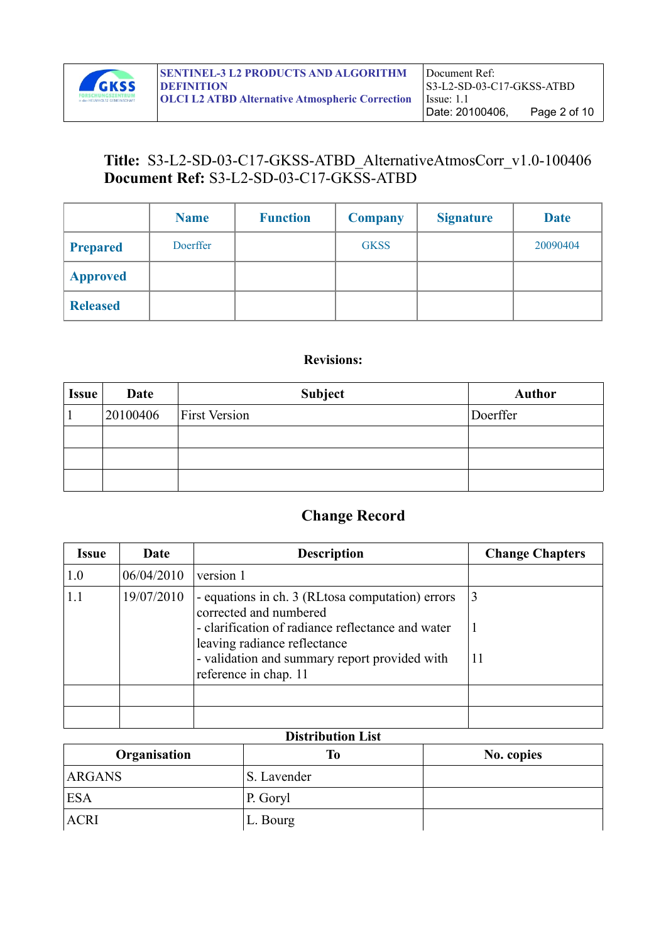

# **Title:** S3-L2-SD-03-C17-GKSS-ATBD\_AlternativeAtmosCorr\_v1.0-100406 **Document Ref:** S3-L2-SD-03-C17-GKSS-ATBD

|                 | <b>Name</b> | <b>Function</b> | <b>Company</b> | <b>Signature</b> | <b>Date</b> |
|-----------------|-------------|-----------------|----------------|------------------|-------------|
| <b>Prepared</b> | Doerffer    |                 | <b>GKSS</b>    |                  | 20090404    |
| <b>Approved</b> |             |                 |                |                  |             |
| <b>Released</b> |             |                 |                |                  |             |

#### **Revisions:**

| <b>Issue</b> | Date     | <b>Subject</b>       | <b>Author</b> |
|--------------|----------|----------------------|---------------|
|              | 20100406 | <b>First Version</b> | Doerffer      |
|              |          |                      |               |
|              |          |                      |               |
|              |          |                      |               |

# **Change Record**

| <i><b>Issue</b></i> | Date       | <b>Description</b>                                                                                                                                               | <b>Change Chapters</b> |
|---------------------|------------|------------------------------------------------------------------------------------------------------------------------------------------------------------------|------------------------|
| 1.0                 | 06/04/2010 | version 1                                                                                                                                                        |                        |
| 1.1                 | 19/07/2010 | - equations in ch. 3 (RL tosa computation) errors<br>corrected and numbered<br>- clarification of radiance reflectance and water<br>leaving radiance reflectance | 3                      |
|                     |            | - validation and summary report provided with<br>reference in chap. 11                                                                                           | 11                     |
|                     |            |                                                                                                                                                                  |                        |
|                     |            |                                                                                                                                                                  |                        |

#### **Distribution List**

| Organisation  | Tо          | No. copies |
|---------------|-------------|------------|
| <b>ARGANS</b> | S. Lavender |            |
| 'ESA          | P. Goryl    |            |
| ACRI          | L. Bourg    |            |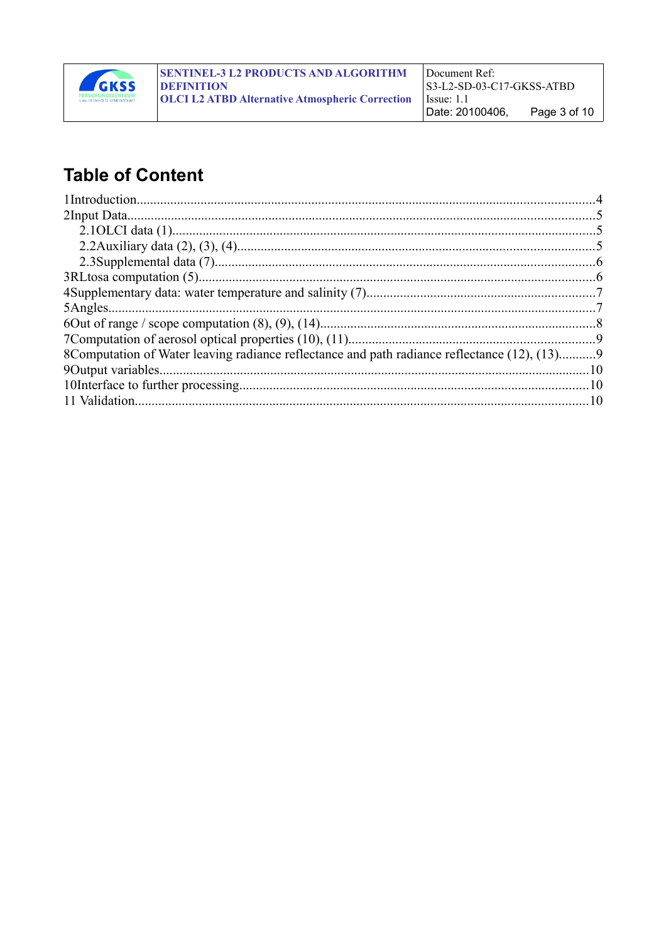

# **Table of Content**

| 8Computation of Water leaving radiance reflectance and path radiance reflectance (12), (13)9 |  |
|----------------------------------------------------------------------------------------------|--|
|                                                                                              |  |
|                                                                                              |  |
|                                                                                              |  |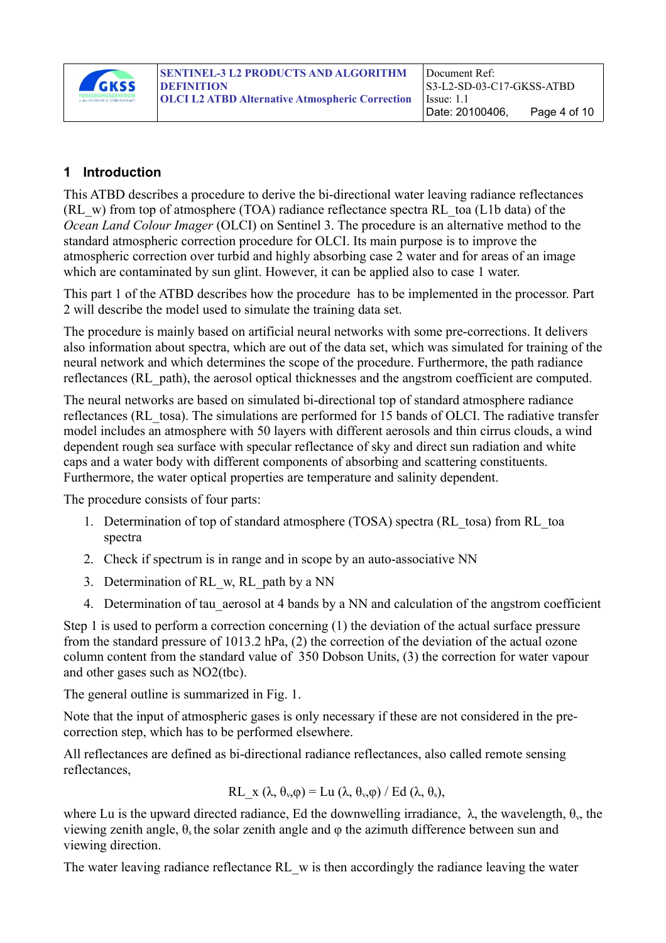

#### **1 Introduction**

This ATBD describes a procedure to derive the bi-directional water leaving radiance reflectances (RL\_w) from top of atmosphere (TOA) radiance reflectance spectra RL\_toa (L1b data) of the *Ocean Land Colour Imager* (OLCI) on Sentinel 3. The procedure is an alternative method to the standard atmospheric correction procedure for OLCI. Its main purpose is to improve the atmospheric correction over turbid and highly absorbing case 2 water and for areas of an image which are contaminated by sun glint. However, it can be applied also to case 1 water.

This part 1 of the ATBD describes how the procedure has to be implemented in the processor. Part 2 will describe the model used to simulate the training data set.

The procedure is mainly based on artificial neural networks with some pre-corrections. It delivers also information about spectra, which are out of the data set, which was simulated for training of the neural network and which determines the scope of the procedure. Furthermore, the path radiance reflectances (RL\_path), the aerosol optical thicknesses and the angstrom coefficient are computed.

The neural networks are based on simulated bi-directional top of standard atmosphere radiance reflectances (RL\_tosa). The simulations are performed for 15 bands of OLCI. The radiative transfer model includes an atmosphere with 50 layers with different aerosols and thin cirrus clouds, a wind dependent rough sea surface with specular reflectance of sky and direct sun radiation and white caps and a water body with different components of absorbing and scattering constituents. Furthermore, the water optical properties are temperature and salinity dependent.

The procedure consists of four parts:

- 1. Determination of top of standard atmosphere (TOSA) spectra (RL\_tosa) from RL\_toa spectra
- 2. Check if spectrum is in range and in scope by an auto-associative NN
- 3. Determination of RL\_w, RL\_path by a NN
- 4. Determination of tau aerosol at 4 bands by a NN and calculation of the angstrom coefficient

Step 1 is used to perform a correction concerning (1) the deviation of the actual surface pressure from the standard pressure of 1013.2 hPa, (2) the correction of the deviation of the actual ozone column content from the standard value of 350 Dobson Units, (3) the correction for water vapour and other gases such as NO2(tbc).

The general outline is summarized in Fig. [1.](#page-4-0)

Note that the input of atmospheric gases is only necessary if these are not considered in the precorrection step, which has to be performed elsewhere.

All reflectances are defined as bi-directional radiance reflectances, also called remote sensing reflectances,

$$
RL_x (\lambda, \theta_v, \varphi) = Lu (\lambda, \theta_v, \varphi) / Ed (\lambda, \theta_s),
$$

where Lu is the upward directed radiance, Ed the downwelling irradiance,  $\lambda$ , the wavelength,  $\theta_{v}$ , the viewing zenith angle,  $\theta_s$  the solar zenith angle and  $\phi$  the azimuth difference between sun and viewing direction.

The water leaving radiance reflectance RL w is then accordingly the radiance leaving the water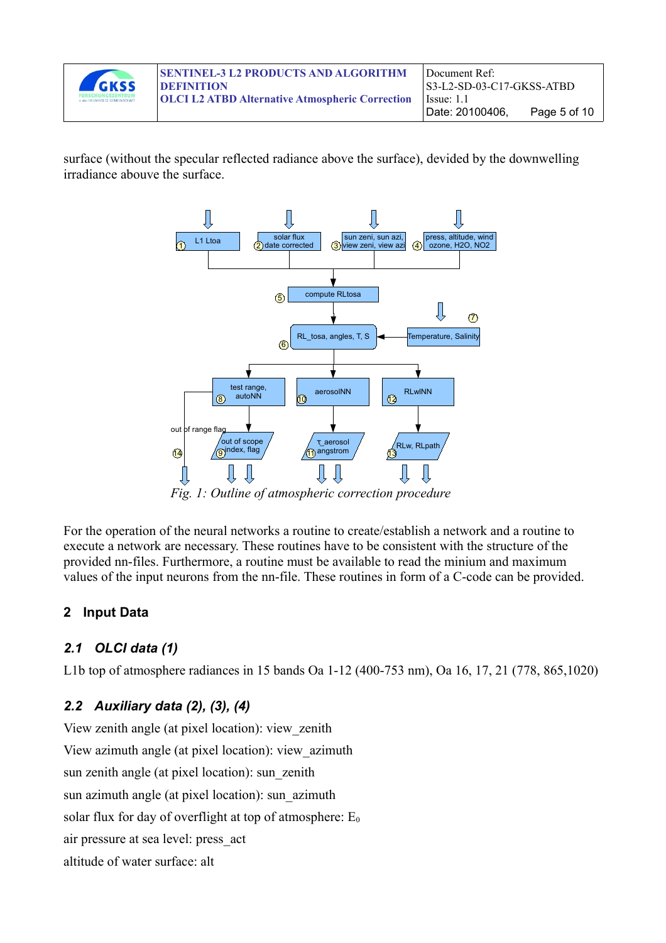

surface (without the specular reflected radiance above the surface), devided by the downwelling irradiance abouve the surface.



<span id="page-4-0"></span>For the operation of the neural networks a routine to create/establish a network and a routine to execute a network are necessary. These routines have to be consistent with the structure of the provided nn-files. Furthermore, a routine must be available to read the minium and maximum

values of the input neurons from the nn-file. These routines in form of a C-code can be provided.

# **2 Input Data**

## *2.1 OLCI data (1)*

L1b top of atmosphere radiances in 15 bands Oa 1-12 (400-753 nm), Oa 16, 17, 21 (778, 865,1020)

# *2.2 Auxiliary data (2), (3), (4)*

View zenith angle (at pixel location): view\_zenith View azimuth angle (at pixel location): view\_azimuth sun zenith angle (at pixel location): sun\_zenith sun azimuth angle (at pixel location): sun\_azimuth solar flux for day of overflight at top of atmosphere:  $E_0$ air pressure at sea level: press\_act altitude of water surface: alt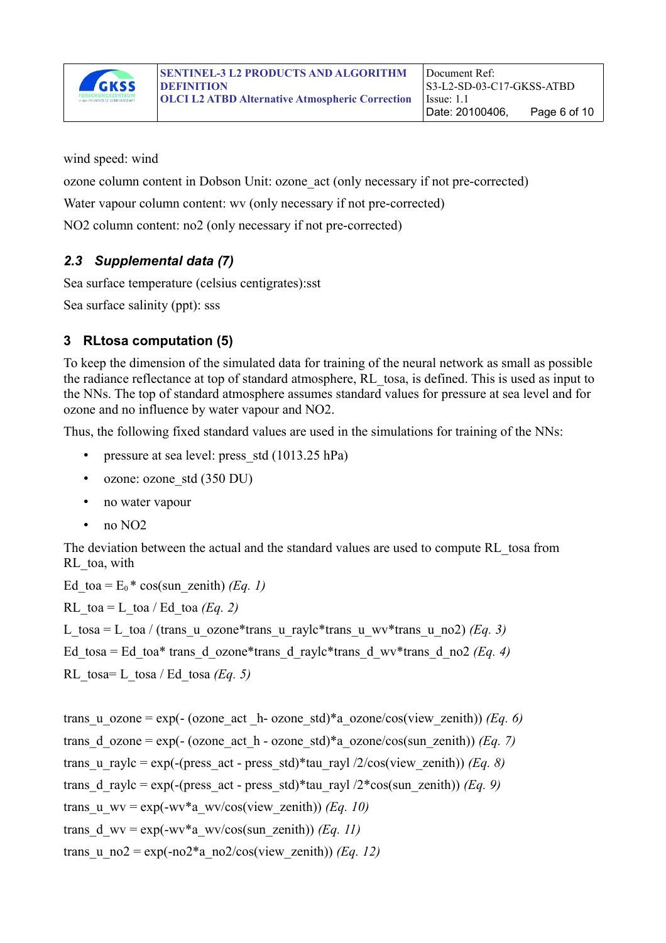

wind speed: wind

ozone column content in Dobson Unit: ozone\_act (only necessary if not pre-corrected)

Water vapour column content: wy (only necessary if not pre-corrected)

NO2 column content: no2 (only necessary if not pre-corrected)

### *2.3 Supplemental data (7)*

Sea surface temperature (celsius centigrates):sst

Sea surface salinity (ppt): sss

## **3 RLtosa computation (5)**

To keep the dimension of the simulated data for training of the neural network as small as possible the radiance reflectance at top of standard atmosphere, RL\_tosa, is defined. This is used as input to the NNs. The top of standard atmosphere assumes standard values for pressure at sea level and for ozone and no influence by water vapour and NO2.

Thus, the following fixed standard values are used in the simulations for training of the NNs:

- pressure at sea level: press std (1013.25 hPa)
- ozone: ozone std (350 DU)
- no water vapour
- $\cdot$  no NO2

The deviation between the actual and the standard values are used to compute RL\_tosa from RL\_toa, with

```
Ed toa = E_0<sup>*</sup> cos(sun_zenith) (Eq. 1)
RL toa = L toa / Ed toa (Eq. 2)
L_tosa = L_toa / (trans_u_ozone*trans_u_raylc*trans_u_wv*trans_u_no2) (Eq. 3)
Ed tosa = Ed toa* trans_d_ozone*trans_d_raylc*trans_d_wv*trans_d_no2 (Eq. 4)
RL tosa= L tosa / Ed tosa (Eq. 5)
```

```
trans_u_ozone = exp(- (ozone_act _h- ozone_std)*a_ozone/cos(view_zenith)) (Eq. 6)
trans d ozone = exp(- (ozone act h - ozone std)*a ozone/cos(sun zenith)) (Eq. 7)
trans u raylc = exp(-(press act - press std)*tau rayl /2/cos(view zenith)) (Eq. 8)
trans d raylc = exp(-(press act - press std)*tau rayl /2*cos(sunzenith)) (Eq. 9)
trans_u_wv = exp(-wv*a_wv/cos(view_zenith)) (Eq. 10)
trans d wv = \exp(-wv^*a wv/cos(sun zenith)) (Eq. 11)
trans u_no2 = \exp(-n\omega^2 a \cdot n\omega^2/\cos(vi\omega x \cdot \sinh)) (Eq. 12)
```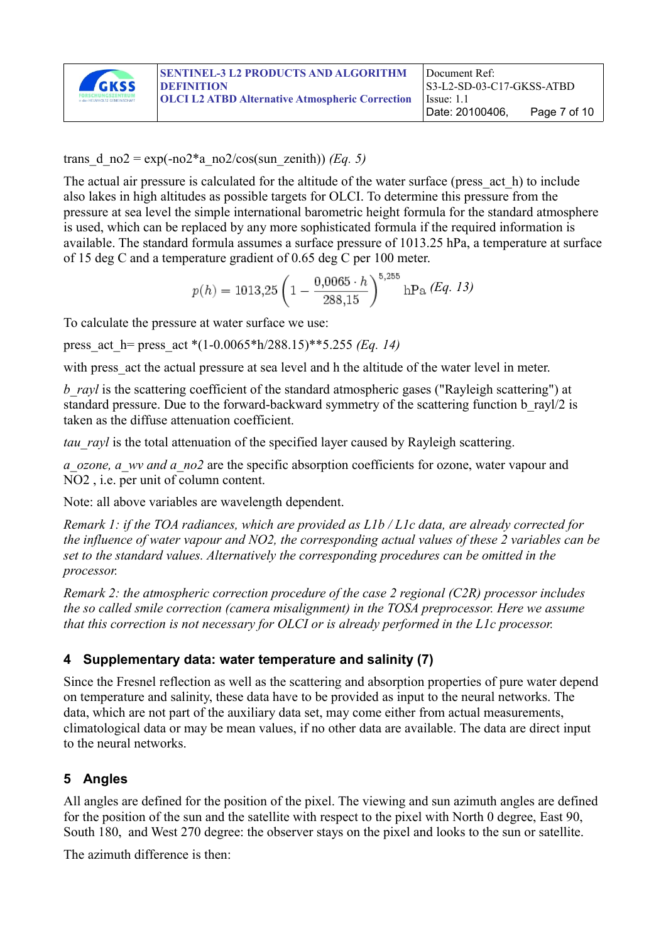

#### trans d\_no2 = exp(-no2<sup>\*</sup>a\_no2/cos(sun\_zenith)) *(Eq. 5)*

The actual air pressure is calculated for the altitude of the water surface (press act h) to include also lakes in high altitudes as possible targets for OLCI. To determine this pressure from the pressure at sea level the simple international barometric height formula for the standard atmosphere is used, which can be replaced by any more sophisticated formula if the required information is available. The standard formula assumes a surface pressure of 1013.25 hPa, a temperature at surface of 15 deg C and a temperature gradient of 0.65 deg C per 100 meter.

$$
p(h) = 1013,25 \left( 1 - \frac{0,0065 \cdot h}{288,15} \right)^{5,255} \text{hPa} \ (Eq. 13)
$$

To calculate the pressure at water surface we use:

press\_act\_h= press\_act \*(1-0.0065\*h/288.15)\*\*5.255 *(Eq. 14)*

with press act the actual pressure at sea level and h the altitude of the water level in meter.

*b\_rayl* is the scattering coefficient of the standard atmospheric gases ("Rayleigh scattering") at standard pressure. Due to the forward-backward symmetry of the scattering function b rayl/2 is taken as the diffuse attenuation coefficient.

*tau rayl* is the total attenuation of the specified layer caused by Rayleigh scattering.

*a\_ozone, a\_wv and a\_no2* are the specific absorption coefficients for ozone, water vapour and NO2 , i.e. per unit of column content.

Note: all above variables are wavelength dependent.

*Remark 1: if the TOA radiances, which are provided as L1b / L1c data, are already corrected for the influence of water vapour and NO2, the corresponding actual values of these 2 variables can be set to the standard values. Alternatively the corresponding procedures can be omitted in the processor.*

*Remark 2: the atmospheric correction procedure of the case 2 regional (C2R) processor includes the so called smile correction (camera misalignment) in the TOSA preprocessor. Here we assume that this correction is not necessary for OLCI or is already performed in the L1c processor.*

#### **4 Supplementary data: water temperature and salinity (7)**

Since the Fresnel reflection as well as the scattering and absorption properties of pure water depend on temperature and salinity, these data have to be provided as input to the neural networks. The data, which are not part of the auxiliary data set, may come either from actual measurements, climatological data or may be mean values, if no other data are available. The data are direct input to the neural networks.

## **5 Angles**

All angles are defined for the position of the pixel. The viewing and sun azimuth angles are defined for the position of the sun and the satellite with respect to the pixel with North 0 degree, East 90, South 180, and West 270 degree: the observer stays on the pixel and looks to the sun or satellite.

The azimuth difference is then: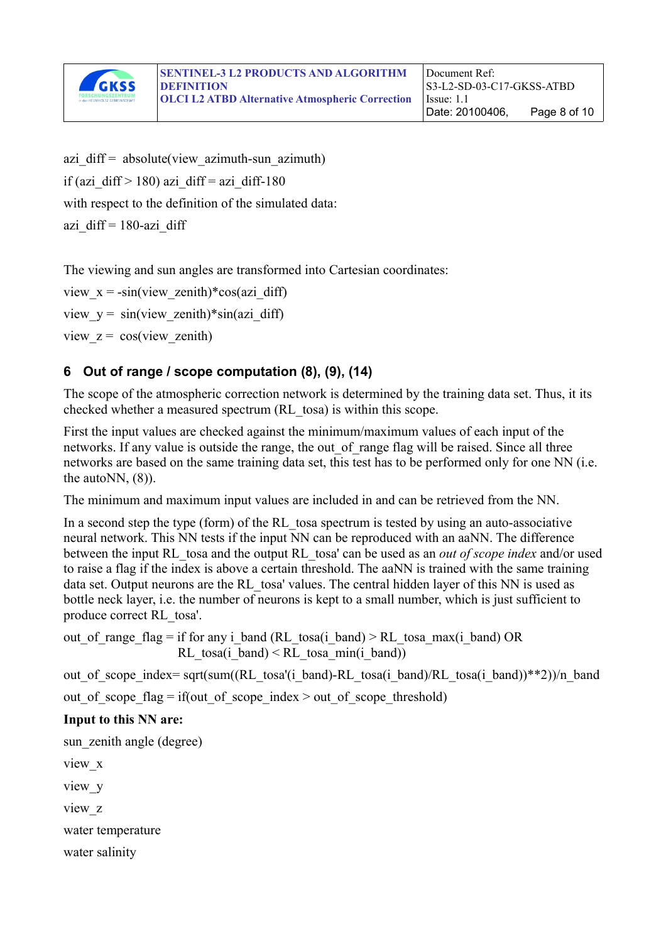

azi  $diff = absolute(view azimuth-sum azimuth)$ if (azi\_diff > 180) azi\_diff = azi\_diff-180 with respect to the definition of the simulated data: azi diff =  $180$ -azi diff

The viewing and sun angles are transformed into Cartesian coordinates:

view  $x = -\sin(vi)$  zenith)\*cos(azi diff) view  $y = \sin(vi)$  zenith)\*sin(azi diff) view  $z = \cos(vi)$  zenith)

## **6 Out of range / scope computation (8), (9), (14)**

The scope of the atmospheric correction network is determined by the training data set. Thus, it its checked whether a measured spectrum (RL\_tosa) is within this scope.

First the input values are checked against the minimum/maximum values of each input of the networks. If any value is outside the range, the out of range flag will be raised. Since all three networks are based on the same training data set, this test has to be performed only for one NN (i.e. the auto $NN$ ,  $(8)$ ).

The minimum and maximum input values are included in and can be retrieved from the NN.

In a second step the type (form) of the RL tosa spectrum is tested by using an auto-associative neural network. This NN tests if the input NN can be reproduced with an aaNN. The difference between the input RL\_tosa and the output RL\_tosa' can be used as an *out of scope index* and/or used to raise a flag if the index is above a certain threshold. The aaNN is trained with the same training data set. Output neurons are the RL tosa' values. The central hidden layer of this NN is used as bottle neck layer, i.e. the number of neurons is kept to a small number, which is just sufficient to produce correct RL\_tosa'.

out of range flag = if for any i\_band (RL\_tosa(i\_band)  $\geq$  RL\_tosa\_max(i\_band) OR RL tosa(i band)  $\leq$  RL tosa min(i band))

out of scope index= sqrt(sum((RL\_tosa'(i\_band)-RL\_tosa(i\_band)/RL\_tosa(i\_band))\*\*2))/n\_band

out of scope flag = if(out of scope index > out of scope threshold)

#### **Input to this NN are:**

sun zenith angle (degree)

view\_x

view\_y

view\_z

water temperature

water salinity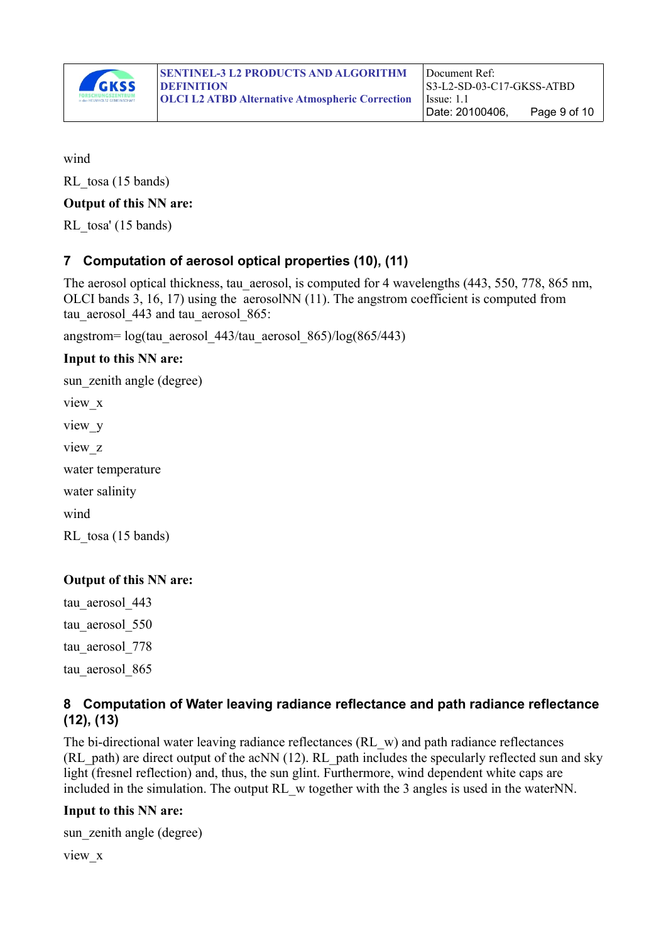

wind

RL tosa (15 bands)

#### **Output of this NN are:**

RL tosa' (15 bands)

## **7 Computation of aerosol optical properties (10), (11)**

The aerosol optical thickness, tau aerosol, is computed for 4 wavelengths (443, 550, 778, 865 nm, OLCI bands 3, 16, 17) using the aerosolNN (11). The angstrom coefficient is computed from tau aerosol 443 and tau aerosol 865:

angstrom= log(tau\_aerosol\_443/tau\_aerosol\_865)/log(865/443)

#### **Input to this NN are:**

sun zenith angle (degree) view\_x view\_y view\_z water temperature water salinity wind

RL tosa (15 bands)

#### **Output of this NN are:**

tau aerosol 443 tau aerosol 550 tau aerosol 778 tau aerosol 865

#### **8 Computation of Water leaving radiance reflectance and path radiance reflectance (12), (13)**

The bi-directional water leaving radiance reflectances (RL w) and path radiance reflectances (RL\_path) are direct output of the acNN (12). RL\_path includes the specularly reflected sun and sky light (fresnel reflection) and, thus, the sun glint. Furthermore, wind dependent white caps are included in the simulation. The output RL w together with the 3 angles is used in the waterNN.

#### **Input to this NN are:**

sun zenith angle (degree)

view\_x